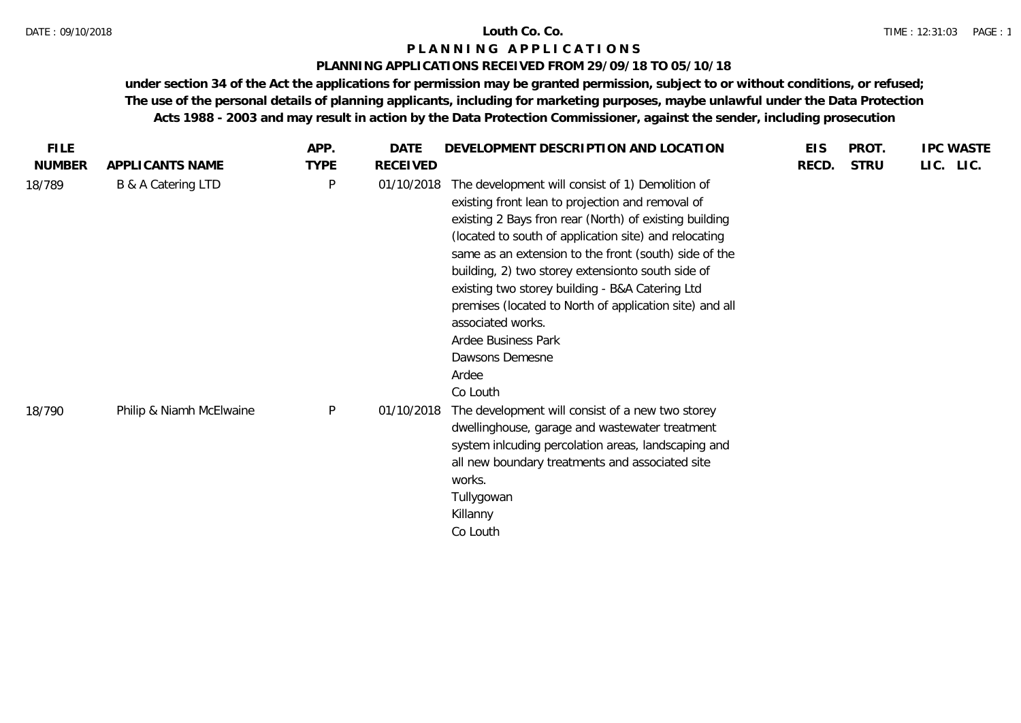### **PLANNING APPLICATIONS RECEIVED FROM 29/09/18 TO 05/10/18**

| <b>FILE</b>   |                          | APP.         | DATE       | DEVELOPMENT DESCRIPTION AND LOCATION                                                                                                                                                                                                                                                                                                                                                                                                                                                                                                    | <b>EIS</b> | PROT.       | <b>IPC WASTE</b> |  |
|---------------|--------------------------|--------------|------------|-----------------------------------------------------------------------------------------------------------------------------------------------------------------------------------------------------------------------------------------------------------------------------------------------------------------------------------------------------------------------------------------------------------------------------------------------------------------------------------------------------------------------------------------|------------|-------------|------------------|--|
| <b>NUMBER</b> | APPLICANTS NAME          | <b>TYPE</b>  | RECEIVED   |                                                                                                                                                                                                                                                                                                                                                                                                                                                                                                                                         | RECD.      | <b>STRU</b> | LIC. LIC.        |  |
| 18/789        | B & A Catering LTD       | $\mathsf{P}$ | 01/10/2018 | The development will consist of 1) Demolition of<br>existing front lean to projection and removal of<br>existing 2 Bays fron rear (North) of existing building<br>(located to south of application site) and relocating<br>same as an extension to the front (south) side of the<br>building, 2) two storey extensionto south side of<br>existing two storey building - B&A Catering Ltd<br>premises (located to North of application site) and all<br>associated works.<br>Ardee Business Park<br>Dawsons Demesne<br>Ardee<br>Co Louth |            |             |                  |  |
| 18/790        | Philip & Niamh McElwaine | P            | 01/10/2018 | The development will consist of a new two storey<br>dwellinghouse, garage and wastewater treatment<br>system inlcuding percolation areas, landscaping and<br>all new boundary treatments and associated site<br>works.<br>Tullygowan<br>Killanny<br>Co Louth                                                                                                                                                                                                                                                                            |            |             |                  |  |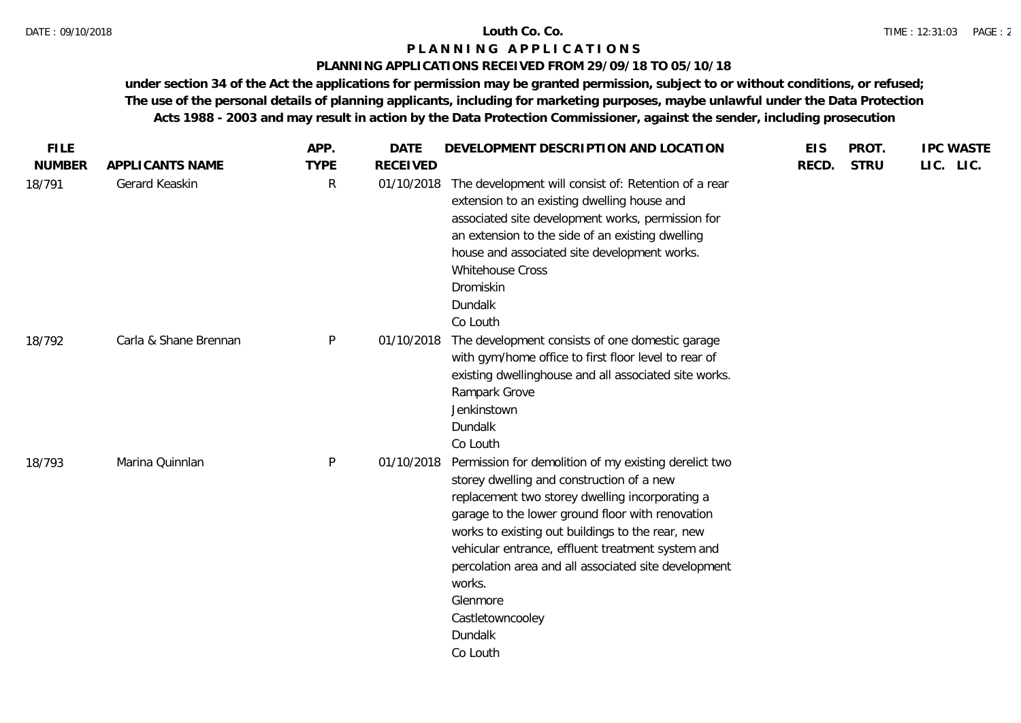### **PLANNING APPLICATIONS RECEIVED FROM 29/09/18 TO 05/10/18**

| <b>FILE</b>   |                       | APP.        | <b>DATE</b>     | DEVELOPMENT DESCRIPTION AND LOCATION                                                                                                                                                                                                                                                                                                                                                                                                        | <b>EIS</b> | PROT.       | <b>IPC WASTE</b> |
|---------------|-----------------------|-------------|-----------------|---------------------------------------------------------------------------------------------------------------------------------------------------------------------------------------------------------------------------------------------------------------------------------------------------------------------------------------------------------------------------------------------------------------------------------------------|------------|-------------|------------------|
| <b>NUMBER</b> | APPLICANTS NAME       | <b>TYPE</b> | <b>RECEIVED</b> |                                                                                                                                                                                                                                                                                                                                                                                                                                             | RECD.      | <b>STRU</b> | LIC. LIC.        |
| 18/791        | Gerard Keaskin        | R           | 01/10/2018      | The development will consist of: Retention of a rear<br>extension to an existing dwelling house and<br>associated site development works, permission for<br>an extension to the side of an existing dwelling<br>house and associated site development works.<br>Whitehouse Cross<br>Dromiskin<br>Dundalk<br>Co Louth                                                                                                                        |            |             |                  |
| 18/792        | Carla & Shane Brennan | P           | 01/10/2018      | The development consists of one domestic garage<br>with gym/home office to first floor level to rear of<br>existing dwellinghouse and all associated site works.<br>Rampark Grove<br>Jenkinstown<br>Dundalk<br>Co Louth                                                                                                                                                                                                                     |            |             |                  |
| 18/793        | Marina Quinnlan       | P           | 01/10/2018      | Permission for demolition of my existing derelict two<br>storey dwelling and construction of a new<br>replacement two storey dwelling incorporating a<br>garage to the lower ground floor with renovation<br>works to existing out buildings to the rear, new<br>vehicular entrance, effluent treatment system and<br>percolation area and all associated site development<br>works.<br>Glenmore<br>Castletowncooley<br>Dundalk<br>Co Louth |            |             |                  |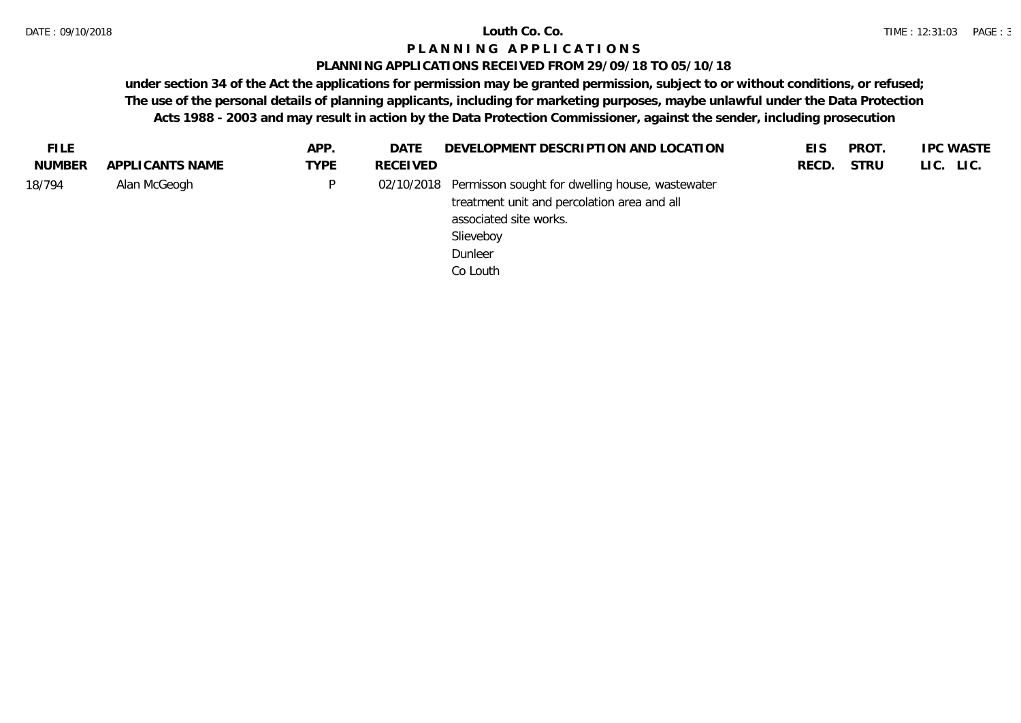### **PLANNING APPLICATIONS RECEIVED FROM 29/09/18 TO 05/10/18**

| <b>FILE</b>   |                 | APP.        | <b>DATE</b>     | DEVELOPMENT DESCRIPTION AND LOCATION                       | <b>EIS</b> | <b>PROT</b> | <b>IPC WASTE</b> |
|---------------|-----------------|-------------|-----------------|------------------------------------------------------------|------------|-------------|------------------|
| <b>NUMBER</b> | APPLICANTS NAME | <b>TYPE</b> | <b>RECEIVED</b> |                                                            | RECD.      | <b>STRU</b> | LIC. LIC.        |
| 18/794        | Alan McGeogh    | P.          |                 | 02/10/2018 Permisson sought for dwelling house, wastewater |            |             |                  |
|               |                 |             |                 | treatment unit and percolation area and all                |            |             |                  |
|               |                 |             |                 | associated site works.                                     |            |             |                  |
|               |                 |             |                 | Slieveboy                                                  |            |             |                  |
|               |                 |             |                 | Dunleer                                                    |            |             |                  |
|               |                 |             |                 | Co Louth                                                   |            |             |                  |
|               |                 |             |                 |                                                            |            |             |                  |
|               |                 |             |                 |                                                            |            |             |                  |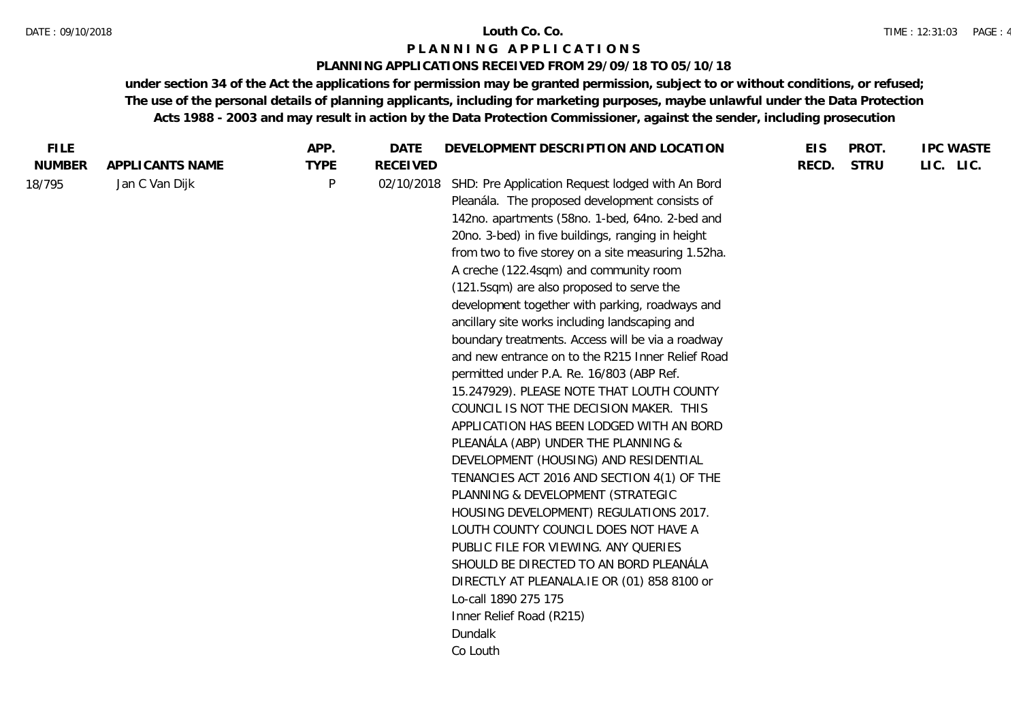#### DATE : 09/10/2018 **Louth Co. Co.**

## **P L A N N I N G A P P L I C A T I O N S**

### **PLANNING APPLICATIONS RECEIVED FROM 29/09/18 TO 05/10/18**

| <b>FILE</b>   |                 | APP.        | DATE            | DEVELOPMENT DESCRIPTION AND LOCATION                | <b>EIS</b> | PROT.       | <b>IPC WASTE</b> |
|---------------|-----------------|-------------|-----------------|-----------------------------------------------------|------------|-------------|------------------|
| <b>NUMBER</b> | APPLICANTS NAME | <b>TYPE</b> | <b>RECEIVED</b> |                                                     | RECD.      | <b>STRU</b> | LIC. LIC.        |
| 18/795        | Jan C Van Dijk  | P           | 02/10/2018      | SHD: Pre Application Request lodged with An Bord    |            |             |                  |
|               |                 |             |                 | Pleanála. The proposed development consists of      |            |             |                  |
|               |                 |             |                 | 142no. apartments (58no. 1-bed, 64no. 2-bed and     |            |             |                  |
|               |                 |             |                 | 20no. 3-bed) in five buildings, ranging in height   |            |             |                  |
|               |                 |             |                 | from two to five storey on a site measuring 1.52ha. |            |             |                  |
|               |                 |             |                 | A creche (122.4sqm) and community room              |            |             |                  |
|               |                 |             |                 | (121.5sqm) are also proposed to serve the           |            |             |                  |
|               |                 |             |                 | development together with parking, roadways and     |            |             |                  |
|               |                 |             |                 | ancillary site works including landscaping and      |            |             |                  |
|               |                 |             |                 | boundary treatments. Access will be via a roadway   |            |             |                  |
|               |                 |             |                 | and new entrance on to the R215 Inner Relief Road   |            |             |                  |
|               |                 |             |                 | permitted under P.A. Re. 16/803 (ABP Ref.           |            |             |                  |
|               |                 |             |                 | 15.247929). PLEASE NOTE THAT LOUTH COUNTY           |            |             |                  |
|               |                 |             |                 | COUNCIL IS NOT THE DECISION MAKER. THIS             |            |             |                  |
|               |                 |             |                 | APPLICATION HAS BEEN LODGED WITH AN BORD            |            |             |                  |
|               |                 |             |                 | PLEANÁLA (ABP) UNDER THE PLANNING &                 |            |             |                  |
|               |                 |             |                 | DEVELOPMENT (HOUSING) AND RESIDENTIAL               |            |             |                  |
|               |                 |             |                 | TENANCIES ACT 2016 AND SECTION 4(1) OF THE          |            |             |                  |
|               |                 |             |                 | PLANNING & DEVELOPMENT (STRATEGIC                   |            |             |                  |
|               |                 |             |                 | HOUSING DEVELOPMENT) REGULATIONS 2017.              |            |             |                  |
|               |                 |             |                 | LOUTH COUNTY COUNCIL DOES NOT HAVE A                |            |             |                  |
|               |                 |             |                 | PUBLIC FILE FOR VIEWING. ANY QUERIES                |            |             |                  |
|               |                 |             |                 | SHOULD BE DIRECTED TO AN BORD PLEANÁLA              |            |             |                  |
|               |                 |             |                 | DIRECTLY AT PLEANALA.IE OR (01) 858 8100 or         |            |             |                  |
|               |                 |             |                 | Lo-call 1890 275 175                                |            |             |                  |
|               |                 |             |                 | Inner Relief Road (R215)                            |            |             |                  |
|               |                 |             |                 | Dundalk                                             |            |             |                  |
|               |                 |             |                 | Co Louth                                            |            |             |                  |
|               |                 |             |                 |                                                     |            |             |                  |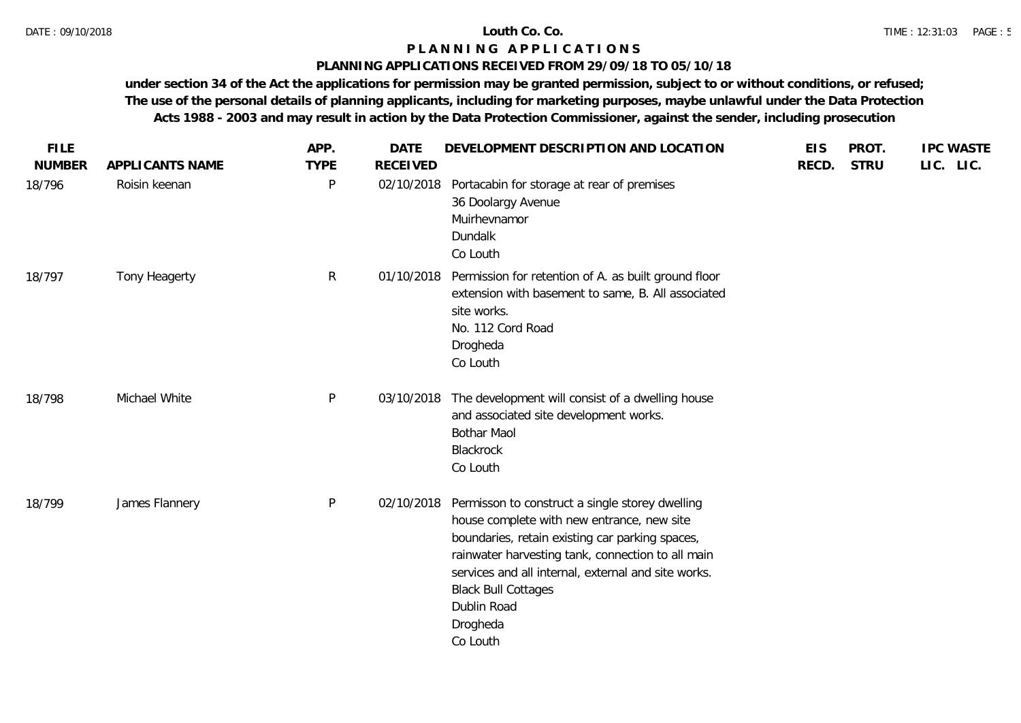### **PLANNING APPLICATIONS RECEIVED FROM 29/09/18 TO 05/10/18**

| <b>FILE</b>   |                 | APP.         | <b>DATE</b>     | DEVELOPMENT DESCRIPTION AND LOCATION                                                                                                                                                                                                                                                                                              | <b>EIS</b> | PROT.       | <b>IPC WASTE</b> |
|---------------|-----------------|--------------|-----------------|-----------------------------------------------------------------------------------------------------------------------------------------------------------------------------------------------------------------------------------------------------------------------------------------------------------------------------------|------------|-------------|------------------|
| <b>NUMBER</b> | APPLICANTS NAME | <b>TYPE</b>  | <b>RECEIVED</b> |                                                                                                                                                                                                                                                                                                                                   | RECD.      | <b>STRU</b> | LIC. LIC.        |
| 18/796        | Roisin keenan   | P            | 02/10/2018      | Portacabin for storage at rear of premises<br>36 Doolargy Avenue<br>Muirhevnamor<br>Dundalk<br>Co Louth                                                                                                                                                                                                                           |            |             |                  |
| 18/797        | Tony Heagerty   | $\mathsf{R}$ | 01/10/2018      | Permission for retention of A. as built ground floor<br>extension with basement to same, B. All associated<br>site works.<br>No. 112 Cord Road<br>Drogheda<br>Co Louth                                                                                                                                                            |            |             |                  |
| 18/798        | Michael White   | P            | 03/10/2018      | The development will consist of a dwelling house<br>and associated site development works.<br><b>Bothar Maol</b><br>Blackrock<br>Co Louth                                                                                                                                                                                         |            |             |                  |
| 18/799        | James Flannery  | P            | 02/10/2018      | Permisson to construct a single storey dwelling<br>house complete with new entrance, new site<br>boundaries, retain existing car parking spaces,<br>rainwater harvesting tank, connection to all main<br>services and all internal, external and site works.<br><b>Black Bull Cottages</b><br>Dublin Road<br>Drogheda<br>Co Louth |            |             |                  |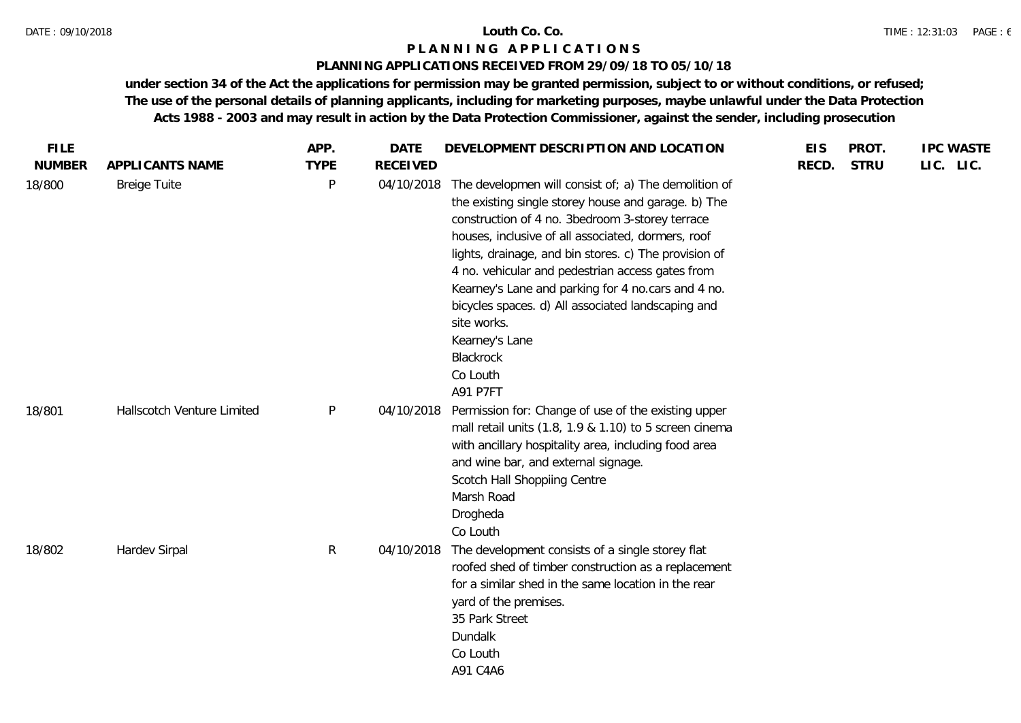### **PLANNING APPLICATIONS RECEIVED FROM 29/09/18 TO 05/10/18**

| <b>FILE</b>   |                            | APP.         | <b>DATE</b>     | DEVELOPMENT DESCRIPTION AND LOCATION                                                                                                                                                                                                                                                                                                                                                                                                                                                                                | <b>EIS</b> | PROT.       | <b>IPC WASTE</b> |
|---------------|----------------------------|--------------|-----------------|---------------------------------------------------------------------------------------------------------------------------------------------------------------------------------------------------------------------------------------------------------------------------------------------------------------------------------------------------------------------------------------------------------------------------------------------------------------------------------------------------------------------|------------|-------------|------------------|
| <b>NUMBER</b> | APPLICANTS NAME            | <b>TYPE</b>  | <b>RECEIVED</b> |                                                                                                                                                                                                                                                                                                                                                                                                                                                                                                                     | RECD.      | <b>STRU</b> | LIC. LIC.        |
| 18/800        | <b>Breige Tuite</b>        | P            | 04/10/2018      | The developmen will consist of; a) The demolition of<br>the existing single storey house and garage. b) The<br>construction of 4 no. 3bedroom 3-storey terrace<br>houses, inclusive of all associated, dormers, roof<br>lights, drainage, and bin stores. c) The provision of<br>4 no. vehicular and pedestrian access gates from<br>Kearney's Lane and parking for 4 no.cars and 4 no.<br>bicycles spaces. d) All associated landscaping and<br>site works.<br>Kearney's Lane<br>Blackrock<br>Co Louth<br>A91 P7FT |            |             |                  |
| 18/801        | Hallscotch Venture Limited | P            | 04/10/2018      | Permission for: Change of use of the existing upper<br>mall retail units (1.8, 1.9 & 1.10) to 5 screen cinema<br>with ancillary hospitality area, including food area<br>and wine bar, and external signage.<br>Scotch Hall Shoppiing Centre<br>Marsh Road<br>Drogheda<br>Co Louth                                                                                                                                                                                                                                  |            |             |                  |
| 18/802        | Hardev Sirpal              | $\mathsf{R}$ | 04/10/2018      | The development consists of a single storey flat<br>roofed shed of timber construction as a replacement<br>for a similar shed in the same location in the rear<br>yard of the premises.<br>35 Park Street<br>Dundalk<br>Co Louth<br>A91 C4A6                                                                                                                                                                                                                                                                        |            |             |                  |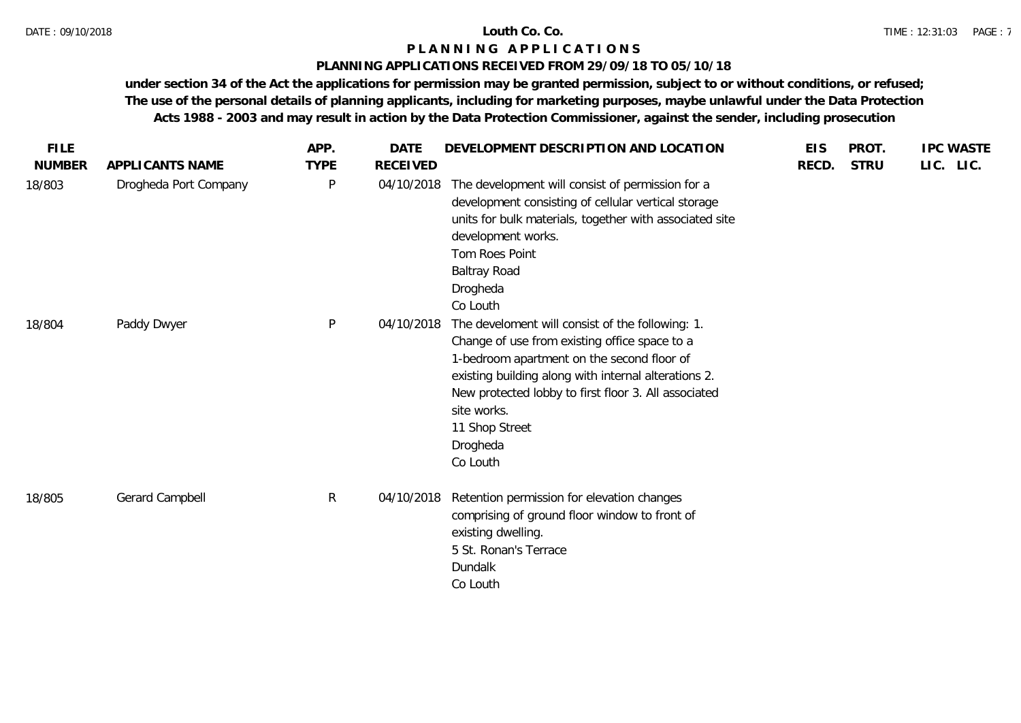### **PLANNING APPLICATIONS RECEIVED FROM 29/09/18 TO 05/10/18**

| <b>FILE</b>   |                       | APP.         | <b>DATE</b>     | DEVELOPMENT DESCRIPTION AND LOCATION                                                                                                                                                                                                                                                                                     | <b>EIS</b> | PROT.       | <b>IPC WASTE</b> |
|---------------|-----------------------|--------------|-----------------|--------------------------------------------------------------------------------------------------------------------------------------------------------------------------------------------------------------------------------------------------------------------------------------------------------------------------|------------|-------------|------------------|
| <b>NUMBER</b> | APPLICANTS NAME       | <b>TYPE</b>  | <b>RECEIVED</b> |                                                                                                                                                                                                                                                                                                                          | RECD.      | <b>STRU</b> | LIC. LIC.        |
| 18/803        | Drogheda Port Company | P            | 04/10/2018      | The development will consist of permission for a<br>development consisting of cellular vertical storage<br>units for bulk materials, together with associated site<br>development works.<br>Tom Roes Point<br><b>Baltray Road</b><br>Drogheda<br>Co Louth                                                                |            |             |                  |
| 18/804        | Paddy Dwyer           | $\mathsf{P}$ | 04/10/2018      | The develoment will consist of the following: 1.<br>Change of use from existing office space to a<br>1-bedroom apartment on the second floor of<br>existing building along with internal alterations 2.<br>New protected lobby to first floor 3. All associated<br>site works.<br>11 Shop Street<br>Drogheda<br>Co Louth |            |             |                  |
| 18/805        | Gerard Campbell       | $\mathsf{R}$ | 04/10/2018      | Retention permission for elevation changes<br>comprising of ground floor window to front of<br>existing dwelling.<br>5 St. Ronan's Terrace<br>Dundalk<br>Co Louth                                                                                                                                                        |            |             |                  |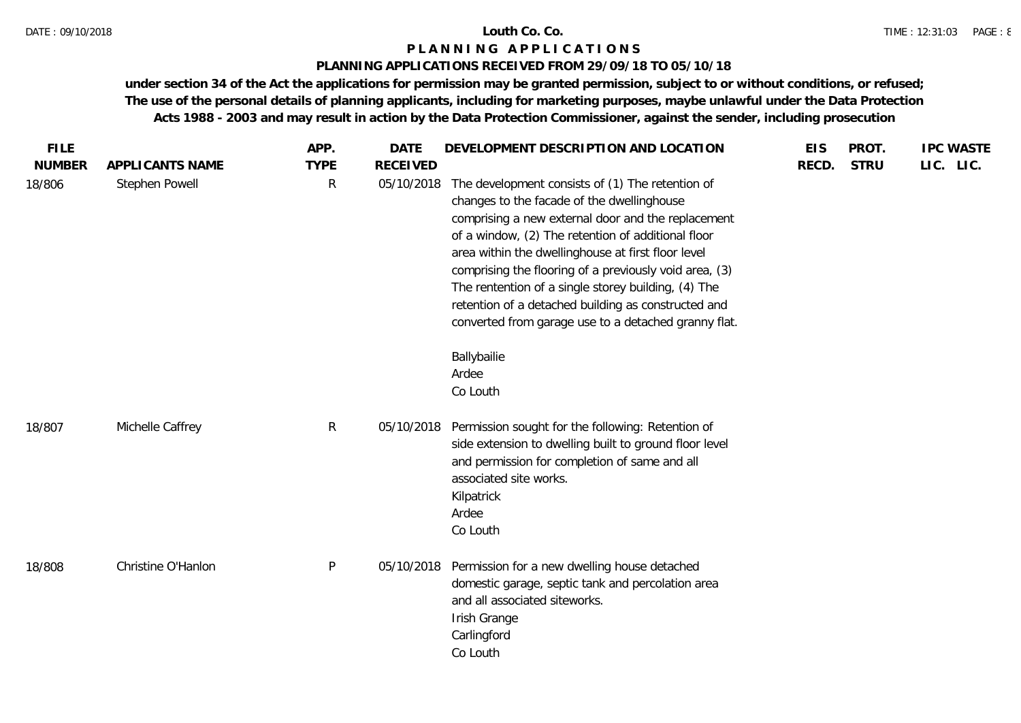## **PLANNING APPLICATIONS RECEIVED FROM 29/09/18 TO 05/10/18**

| <b>FILE</b><br><b>NUMBER</b> | APPLICANTS NAME    | APP.<br><b>TYPE</b> | <b>DATE</b><br><b>RECEIVED</b> | DEVELOPMENT DESCRIPTION AND LOCATION                                                                                                                                                                                                                                                                                                                                                                                                                                                                                     | <b>EIS</b><br>RECD. | PROT.<br><b>STRU</b> | <b>IPC WASTE</b><br>LIC. LIC. |
|------------------------------|--------------------|---------------------|--------------------------------|--------------------------------------------------------------------------------------------------------------------------------------------------------------------------------------------------------------------------------------------------------------------------------------------------------------------------------------------------------------------------------------------------------------------------------------------------------------------------------------------------------------------------|---------------------|----------------------|-------------------------------|
| 18/806                       | Stephen Powell     | $\mathsf{R}$        | 05/10/2018                     | The development consists of (1) The retention of<br>changes to the facade of the dwellinghouse<br>comprising a new external door and the replacement<br>of a window, (2) The retention of additional floor<br>area within the dwellinghouse at first floor level<br>comprising the flooring of a previously void area, (3)<br>The rentention of a single storey building, (4) The<br>retention of a detached building as constructed and<br>converted from garage use to a detached granny flat.<br>Ballybailie<br>Ardee |                     |                      |                               |
|                              |                    |                     |                                | Co Louth                                                                                                                                                                                                                                                                                                                                                                                                                                                                                                                 |                     |                      |                               |
| 18/807                       | Michelle Caffrey   | R                   | 05/10/2018                     | Permission sought for the following: Retention of<br>side extension to dwelling built to ground floor level<br>and permission for completion of same and all<br>associated site works.<br>Kilpatrick<br>Ardee<br>Co Louth                                                                                                                                                                                                                                                                                                |                     |                      |                               |
| 18/808                       | Christine O'Hanlon | $\mathsf{P}$        | 05/10/2018                     | Permission for a new dwelling house detached<br>domestic garage, septic tank and percolation area<br>and all associated siteworks.<br>Irish Grange<br>Carlingford<br>Co Louth                                                                                                                                                                                                                                                                                                                                            |                     |                      |                               |
|                              |                    |                     |                                |                                                                                                                                                                                                                                                                                                                                                                                                                                                                                                                          |                     |                      |                               |